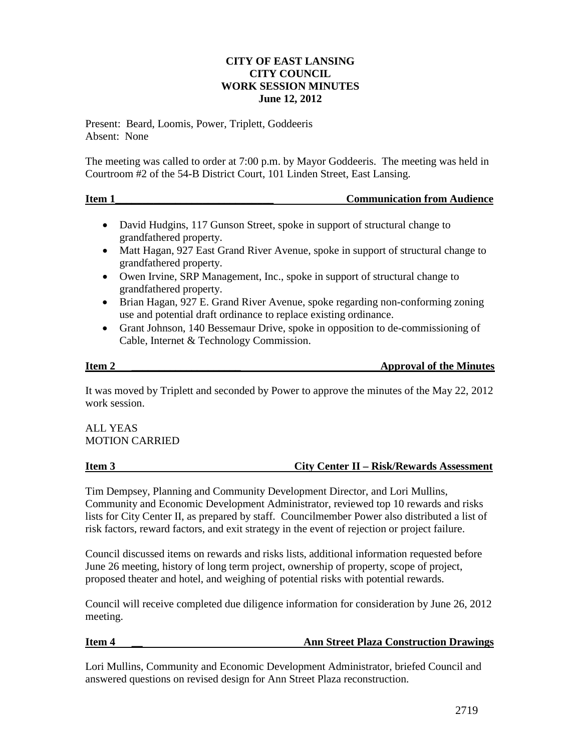# **CITY OF EAST LANSING CITY COUNCIL WORK SESSION MINUTES June 12, 2012**

Present: Beard, Loomis, Power, Triplett, Goddeeris Absent: None

The meeting was called to order at 7:00 p.m. by Mayor Goddeeris. The meeting was held in Courtroom #2 of the 54-B District Court, 101 Linden Street, East Lansing.

| Item 1 | <b>Communication from Audience</b> |
|--------|------------------------------------|
|        |                                    |

- David Hudgins, 117 Gunson Street, spoke in support of structural change to grandfathered property.
- Matt Hagan, 927 East Grand River Avenue, spoke in support of structural change to grandfathered property.
- Owen Irvine, SRP Management, Inc., spoke in support of structural change to grandfathered property.
- Brian Hagan, 927 E. Grand River Avenue, spoke regarding non-conforming zoning use and potential draft ordinance to replace existing ordinance.
- Grant Johnson, 140 Bessemaur Drive, spoke in opposition to de-commissioning of Cable, Internet & Technology Commission.

**Item 2 \_\_\_\_\_\_\_\_\_\_\_\_\_\_\_\_\_\_\_\_ Approval of the Minutes**

It was moved by Triplett and seconded by Power to approve the minutes of the May 22, 2012 work session.

ALL YEAS MOTION CARRIED

Tim Dempsey, Planning and Community Development Director, and Lori Mullins, Community and Economic Development Administrator, reviewed top 10 rewards and risks lists for City Center II, as prepared by staff. Councilmember Power also distributed a list of risk factors, reward factors, and exit strategy in the event of rejection or project failure.

Council discussed items on rewards and risks lists, additional information requested before June 26 meeting, history of long term project, ownership of property, scope of project, proposed theater and hotel, and weighing of potential risks with potential rewards.

Council will receive completed due diligence information for consideration by June 26, 2012 meeting.

## **Item 4 \_\_\_ \_\_\_ Ann Street Plaza Construction Drawings**

Lori Mullins, Community and Economic Development Administrator, briefed Council and answered questions on revised design for Ann Street Plaza reconstruction.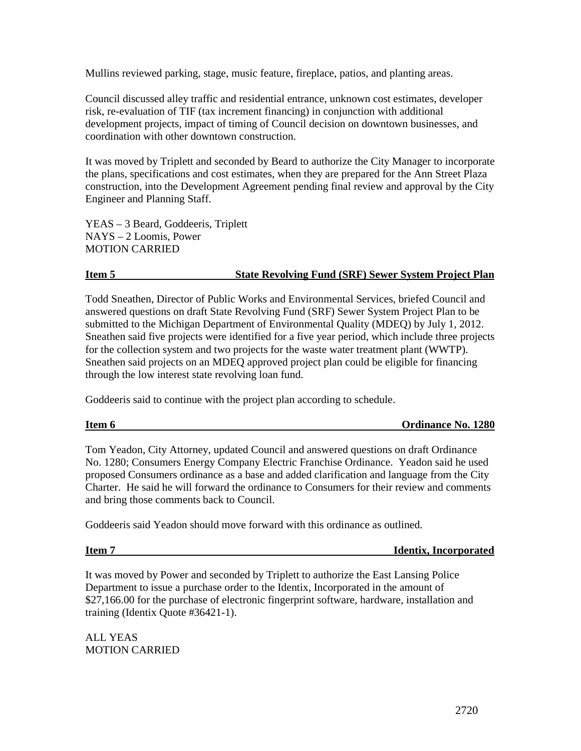Mullins reviewed parking, stage, music feature, fireplace, patios, and planting areas.

Council discussed alley traffic and residential entrance, unknown cost estimates, developer risk, re-evaluation of TIF (tax increment financing) in conjunction with additional development projects, impact of timing of Council decision on downtown businesses, and coordination with other downtown construction.

It was moved by Triplett and seconded by Beard to authorize the City Manager to incorporate the plans, specifications and cost estimates, when they are prepared for the Ann Street Plaza construction, into the Development Agreement pending final review and approval by the City Engineer and Planning Staff.

YEAS – 3 Beard, Goddeeris, Triplett NAYS – 2 Loomis, Power MOTION CARRIED

# **Item 5 State Revolving Fund (SRF) Sewer System Project Plan**

Todd Sneathen, Director of Public Works and Environmental Services, briefed Council and answered questions on draft State Revolving Fund (SRF) Sewer System Project Plan to be submitted to the Michigan Department of Environmental Quality (MDEQ) by July 1, 2012. Sneathen said five projects were identified for a five year period, which include three projects for the collection system and two projects for the waste water treatment plant (WWTP). Sneathen said projects on an MDEQ approved project plan could be eligible for financing through the low interest state revolving loan fund.

Goddeeris said to continue with the project plan according to schedule.

**Item 6 Ordinance No. 1280** 

Tom Yeadon, City Attorney, updated Council and answered questions on draft Ordinance No. 1280; Consumers Energy Company Electric Franchise Ordinance. Yeadon said he used proposed Consumers ordinance as a base and added clarification and language from the City Charter. He said he will forward the ordinance to Consumers for their review and comments and bring those comments back to Council.

Goddeeris said Yeadon should move forward with this ordinance as outlined.

**Item 7** Identix, Incorporated

It was moved by Power and seconded by Triplett to authorize the East Lansing Police Department to issue a purchase order to the Identix, Incorporated in the amount of \$27,166.00 for the purchase of electronic fingerprint software, hardware, installation and training (Identix Quote #36421-1).

ALL YEAS MOTION CARRIED